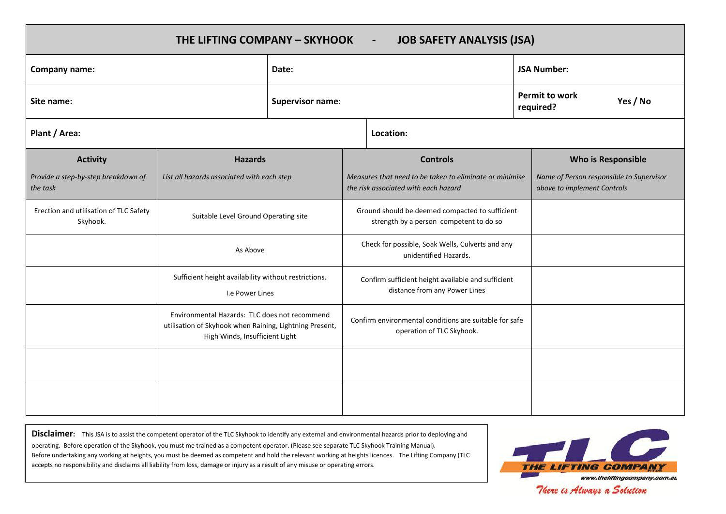| THE LIFTING COMPANY - SKYHOOK<br><b>JOB SAFETY ANALYSIS (JSA)</b><br>$\blacksquare$ |                                                                                                                                            |                         |                                                                                                 |                                                                           |  |                                                                         |  |  |
|-------------------------------------------------------------------------------------|--------------------------------------------------------------------------------------------------------------------------------------------|-------------------------|-------------------------------------------------------------------------------------------------|---------------------------------------------------------------------------|--|-------------------------------------------------------------------------|--|--|
| Company name:                                                                       |                                                                                                                                            | Date:                   |                                                                                                 |                                                                           |  | <b>JSA Number:</b>                                                      |  |  |
| Site name:                                                                          |                                                                                                                                            | <b>Supervisor name:</b> |                                                                                                 | <b>Permit to work</b><br>Yes / No<br>required?                            |  |                                                                         |  |  |
| Plant / Area:                                                                       |                                                                                                                                            |                         |                                                                                                 | Location:                                                                 |  |                                                                         |  |  |
| <b>Activity</b>                                                                     | <b>Hazards</b>                                                                                                                             |                         | <b>Controls</b>                                                                                 |                                                                           |  | Who is Responsible                                                      |  |  |
| Provide a step-by-step breakdown of<br>the task                                     | List all hazards associated with each step                                                                                                 |                         | Measures that need to be taken to eliminate or minimise<br>the risk associated with each hazard |                                                                           |  | Name of Person responsible to Supervisor<br>above to implement Controls |  |  |
| Erection and utilisation of TLC Safety<br>Skyhook.                                  | Suitable Level Ground Operating site                                                                                                       |                         | Ground should be deemed compacted to sufficient<br>strength by a person competent to do so      |                                                                           |  |                                                                         |  |  |
|                                                                                     | As Above                                                                                                                                   |                         |                                                                                                 | Check for possible, Soak Wells, Culverts and any<br>unidentified Hazards. |  |                                                                         |  |  |
|                                                                                     | Sufficient height availability without restrictions.<br>I.e Power Lines                                                                    |                         | Confirm sufficient height available and sufficient<br>distance from any Power Lines             |                                                                           |  |                                                                         |  |  |
|                                                                                     | Environmental Hazards: TLC does not recommend<br>utilisation of Skyhook when Raining, Lightning Present,<br>High Winds, Insufficient Light |                         | Confirm environmental conditions are suitable for safe<br>operation of TLC Skyhook.             |                                                                           |  |                                                                         |  |  |
|                                                                                     |                                                                                                                                            |                         |                                                                                                 |                                                                           |  |                                                                         |  |  |
|                                                                                     |                                                                                                                                            |                         |                                                                                                 |                                                                           |  |                                                                         |  |  |

**Disclaimer:** This JSA is to assist the competent operator of the TLC Skyhook to identify any external and environmental hazards prior to deploying and operating. Before operation of the Skyhook, you must me trained as a competent operator. (Please see separate TLC Skyhook Training Manual). Before undertaking any working at heights, you must be deemed as competent and hold the relevant working at heights licences. The Lifting Company (TLC accepts no responsibility and disclaims all liability from loss, damage or injury as a result of any misuse or operating errors.



There is Always a Solution